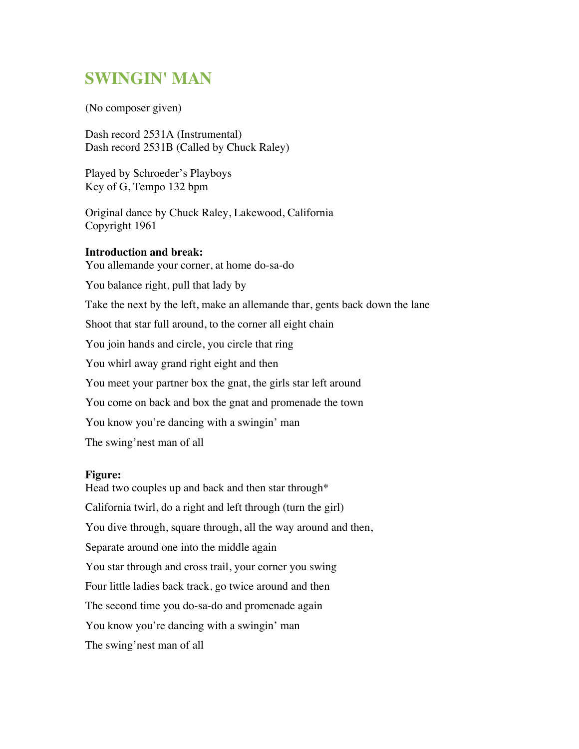## **SWINGIN' MAN**

(No composer given)

Dash record 2531A (Instrumental) Dash record 2531B (Called by Chuck Raley)

Played by Schroeder's Playboys Key of G, Tempo 132 bpm

Original dance by Chuck Raley, Lakewood, California Copyright 1961

## **Introduction and break:**

You allemande your corner, at home do-sa-do You balance right, pull that lady by Take the next by the left, make an allemande thar, gents back down the lane Shoot that star full around, to the corner all eight chain You join hands and circle, you circle that ring You whirl away grand right eight and then You meet your partner box the gnat, the girls star left around You come on back and box the gnat and promenade the town You know you're dancing with a swingin' man The swing'nest man of all

## **Figure:**

Head two couples up and back and then star through\* California twirl, do a right and left through (turn the girl) You dive through, square through, all the way around and then, Separate around one into the middle again You star through and cross trail, your corner you swing Four little ladies back track, go twice around and then The second time you do-sa-do and promenade again You know you're dancing with a swingin' man The swing'nest man of all